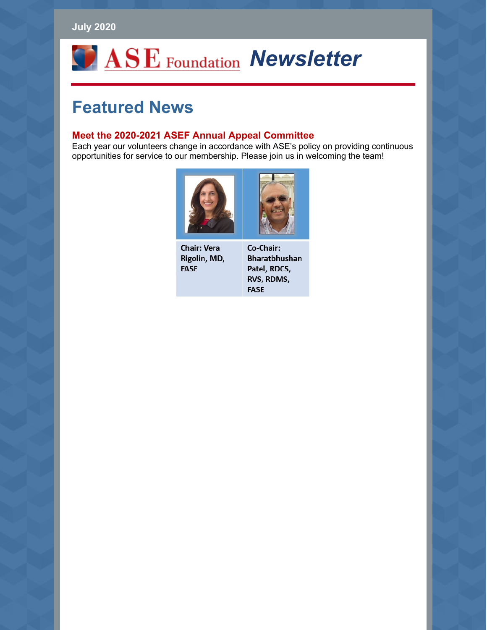### **July 2020**

# *ASE* Foundation Newsletter

# **Featured News**

#### **Meet the 2020-2021 ASEF Annual Appeal Committee**

Each year our volunteers change in accordance with ASE's policy on providing continuous opportunities for service to our membership. Please join us in welcoming the team!



**Chair: Vera** Rigolin, MD, **FASE** 

Co-Chair: **Bharatbhushan** Patel, RDCS, RVS, RDMS, **FASE**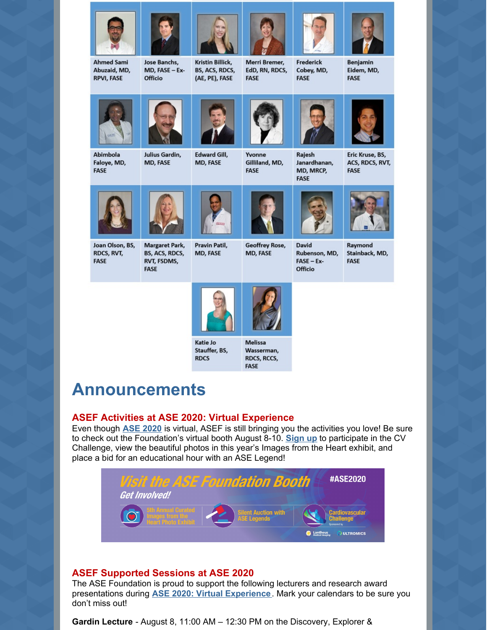

## **Announcements**

### **ASEF Activities at ASE 2020: Virtual Experience**

Katie Jo

**RDCS** 

Stauffer, BS,

Even though **ASE [2020](http://www.asescientificsessions.org)** is virtual, ASEF is still bringing you the activities you love! Be sure to check out the Foundation's virtual booth August 8-10. **[Sign](https://www.asefoundation.org/cardiovascular-challenge-form/) up** to participate in the CV Challenge, view the beautiful photos in this year's Images from the Heart exhibit, and place a bid for an educational hour with an ASE Legend!

**Melissa** 

Wasserman,

**RDCS, RCCS, FASE** 



### **ASEF Supported Sessions at ASE 2020**

The ASE Foundation is proud to support the following lecturers and research award presentations during **ASE 2020: Virtual [Experience](http://www.asescientificsessions.org/)**. Mark your calendars to be sure you don't miss out!

**Gardin Lecture** - August 8, 11:00 AM – 12:30 PM on the Discovery, Explorer &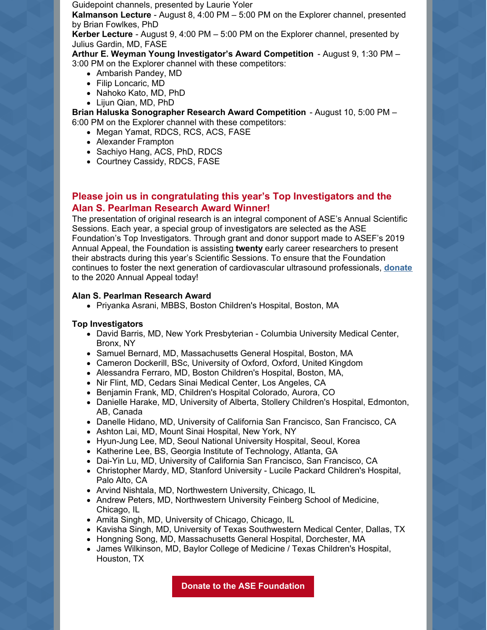Guidepoint channels, presented by Laurie Yoler

**Kalmanson Lecture** - August 8, 4:00 PM – 5:00 PM on the Explorer channel, presented by Brian Fowlkes, PhD

**Kerber Lecture** - August 9, 4:00 PM – 5:00 PM on the Explorer channel, presented by Julius Gardin, MD, FASE

**Arthur E. Weyman Young Investigator's Award Competition** - August 9, 1:30 PM – 3:00 PM on the Explorer channel with these competitors:

- Ambarish Pandey, MD
- Filip Loncaric, MD
- Nahoko Kato, MD, PhD
- Lijun Qian, MD, PhD

**Brian Haluska Sonographer Research Award Competition** - August 10, 5:00 PM – 6:00 PM on the Explorer channel with these competitors:

- Megan Yamat, RDCS, RCS, ACS, FASE
- Alexander Frampton
- Sachiyo Hang, ACS, PhD, RDCS
- Courtney Cassidy, RDCS, FASE

#### **Please join us in congratulating this year's Top Investigators and the Alan S. Pearlman Research Award Winner!**

The presentation of original research is an integral component of ASE's Annual Scientific Sessions. Each year, a special group of investigators are selected as the ASE Foundation's Top Investigators. Through grant and donor support made to ASEF's 2019 Annual Appeal, the Foundation is assisting **twenty** early career researchers to present their abstracts during this year's Scientific Sessions. To ensure that the Foundation continues to foster the next generation of cardiovascular ultrasound professionals, **[donate](https://asecho-prod.force.com/OrderApi__campaign?id=a2W4A000005a6jtUAA&site=a2H4A000002dA1fUAE&sourceCode=a344A000000En0iQAC)** to the 2020 Annual Appeal today!

#### **Alan S. Pearlman Research Award**

Priyanka Asrani, MBBS, Boston Children's Hospital, Boston, MA

#### **Top Investigators**

- David Barris, MD, New York Presbyterian Columbia University Medical Center, Bronx, NY
- Samuel Bernard, MD, Massachusetts General Hospital, Boston, MA
- Cameron Dockerill, BSc, University of Oxford, Oxford, United Kingdom
- Alessandra Ferraro, MD, Boston Children's Hospital, Boston, MA,
- Nir Flint, MD, Cedars Sinai Medical Center, Los Angeles, CA
- Benjamin Frank, MD, Children's Hospital Colorado, Aurora, CO
- Danielle Harake, MD, University of Alberta, Stollery Children's Hospital, Edmonton, AB, Canada
- Danelle Hidano, MD, University of California San Francisco, San Francisco, CA
- Ashton Lai, MD, Mount Sinai Hospital, New York, NY
- Hyun-Jung Lee, MD, Seoul National University Hospital, Seoul, Korea
- Katherine Lee, BS, Georgia Institute of Technology, Atlanta, GA
- Dai-Yin Lu, MD, University of California San Francisco, San Francisco, CA
- Christopher Mardy, MD, Stanford University Lucile Packard Children's Hospital, Palo Alto, CA
- Arvind Nishtala, MD, Northwestern University, Chicago, IL
- Andrew Peters, MD, Northwestern University Feinberg School of Medicine, Chicago, IL
- Amita Singh, MD, University of Chicago, Chicago, IL
- Kavisha Singh, MD, University of Texas Southwestern Medical Center, Dallas, TX
- Hongning Song, MD, Massachusetts General Hospital, Dorchester, MA
- James Wilkinson, MD, Baylor College of Medicine / Texas Children's Hospital, Houston, TX

**Donate to the ASE [Foundation](https://asecho-prod.force.com/OrderApi__campaign?id=a2W4A000005a6jtUAA&site=a2H4A000002dA1fUAE&sourceCode=a344A000000En0iQAC)**